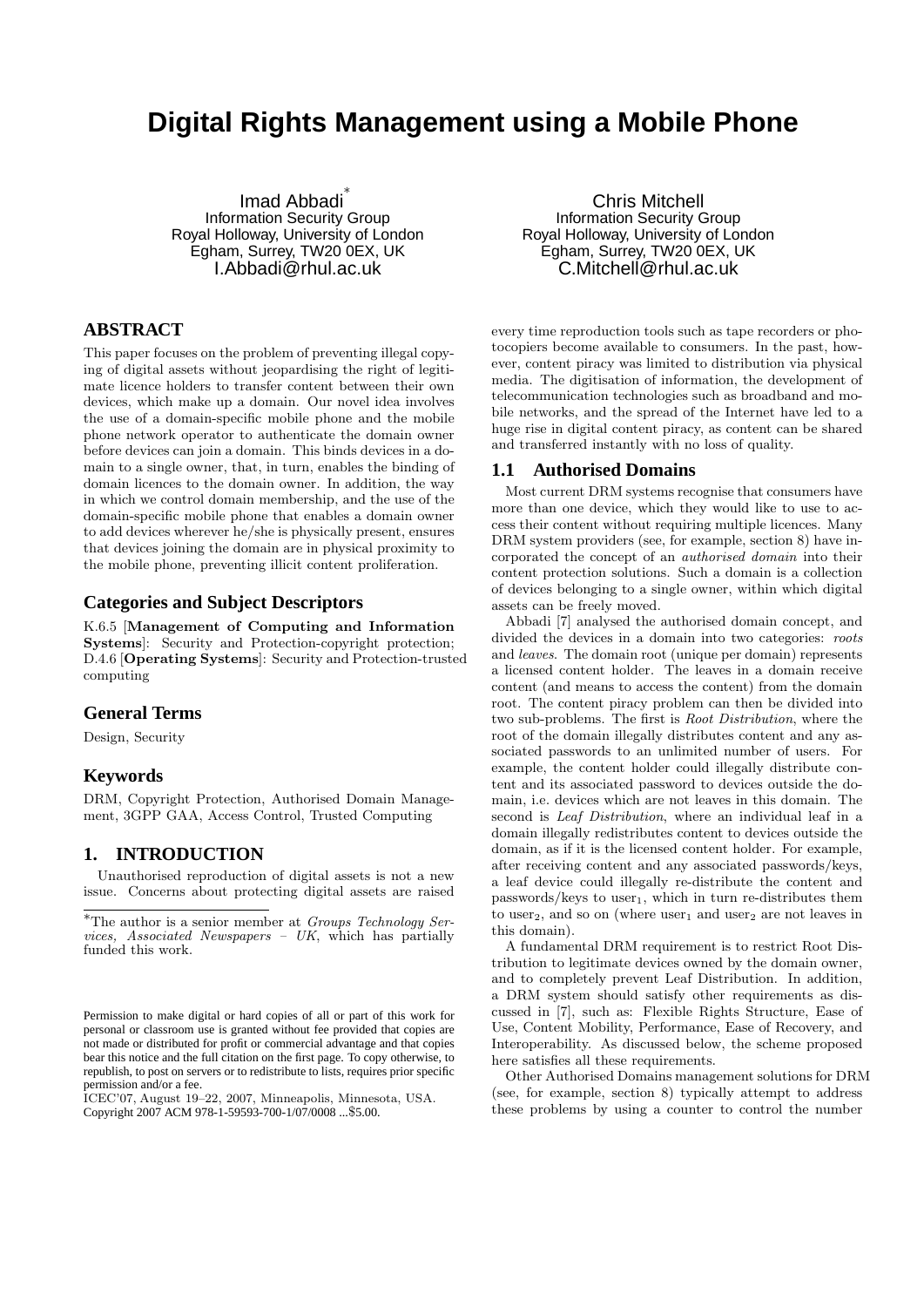# **Digital Rights Management using a Mobile Phone**

Imad Abbadi ∗ Information Security Group Royal Holloway, University of London Egham, Surrey, TW20 0EX, UK I.Abbadi@rhul.ac.uk

# **ABSTRACT**

This paper focuses on the problem of preventing illegal copying of digital assets without jeopardising the right of legitimate licence holders to transfer content between their own devices, which make up a domain. Our novel idea involves the use of a domain-specific mobile phone and the mobile phone network operator to authenticate the domain owner before devices can join a domain. This binds devices in a domain to a single owner, that, in turn, enables the binding of domain licences to the domain owner. In addition, the way in which we control domain membership, and the use of the domain-specific mobile phone that enables a domain owner to add devices wherever he/she is physically present, ensures that devices joining the domain are in physical proximity to the mobile phone, preventing illicit content proliferation.

## **Categories and Subject Descriptors**

K.6.5 [Management of Computing and Information Systems]: Security and Protection-copyright protection; D.4.6 [Operating Systems]: Security and Protection-trusted computing

# **General Terms**

Design, Security

# **Keywords**

DRM, Copyright Protection, Authorised Domain Management, 3GPP GAA, Access Control, Trusted Computing

# **1. INTRODUCTION**

Unauthorised reproduction of digital assets is not a new issue. Concerns about protecting digital assets are raised

ICEC'07, August 19–22, 2007, Minneapolis, Minnesota, USA. Copyright 2007 ACM 978-1-59593-700-1/07/0008 ...\$5.00.

Chris Mitchell Information Security Group Royal Holloway, University of London Egham, Surrey, TW20 0EX, UK C.Mitchell@rhul.ac.uk

every time reproduction tools such as tape recorders or photocopiers become available to consumers. In the past, however, content piracy was limited to distribution via physical media. The digitisation of information, the development of telecommunication technologies such as broadband and mobile networks, and the spread of the Internet have led to a huge rise in digital content piracy, as content can be shared and transferred instantly with no loss of quality.

#### **1.1 Authorised Domains**

Most current DRM systems recognise that consumers have more than one device, which they would like to use to access their content without requiring multiple licences. Many DRM system providers (see, for example, section 8) have incorporated the concept of an authorised domain into their content protection solutions. Such a domain is a collection of devices belonging to a single owner, within which digital assets can be freely moved.

Abbadi [7] analysed the authorised domain concept, and divided the devices in a domain into two categories: roots and leaves. The domain root (unique per domain) represents a licensed content holder. The leaves in a domain receive content (and means to access the content) from the domain root. The content piracy problem can then be divided into two sub-problems. The first is Root Distribution, where the root of the domain illegally distributes content and any associated passwords to an unlimited number of users. For example, the content holder could illegally distribute content and its associated password to devices outside the domain, i.e. devices which are not leaves in this domain. The second is Leaf Distribution, where an individual leaf in a domain illegally redistributes content to devices outside the domain, as if it is the licensed content holder. For example, after receiving content and any associated passwords/keys, a leaf device could illegally re-distribute the content and  $p$ asswords/keys to user<sub>1</sub>, which in turn re-distributes them to user<sub>2</sub>, and so on (where user<sub>1</sub> and user<sub>2</sub> are not leaves in this domain).

A fundamental DRM requirement is to restrict Root Distribution to legitimate devices owned by the domain owner, and to completely prevent Leaf Distribution. In addition, a DRM system should satisfy other requirements as discussed in [7], such as: Flexible Rights Structure, Ease of Use, Content Mobility, Performance, Ease of Recovery, and Interoperability. As discussed below, the scheme proposed here satisfies all these requirements.

Other Authorised Domains management solutions for DRM (see, for example, section 8) typically attempt to address these problems by using a counter to control the number

<sup>∗</sup>The author is a senior member at Groups Technology Services, Associated Newspapers – UK, which has partially funded this work.

Permission to make digital or hard copies of all or part of this work for personal or classroom use is granted without fee provided that copies are not made or distributed for profit or commercial advantage and that copies bear this notice and the full citation on the first page. To copy otherwise, to republish, to post on servers or to redistribute to lists, requires prior specific permission and/or a fee.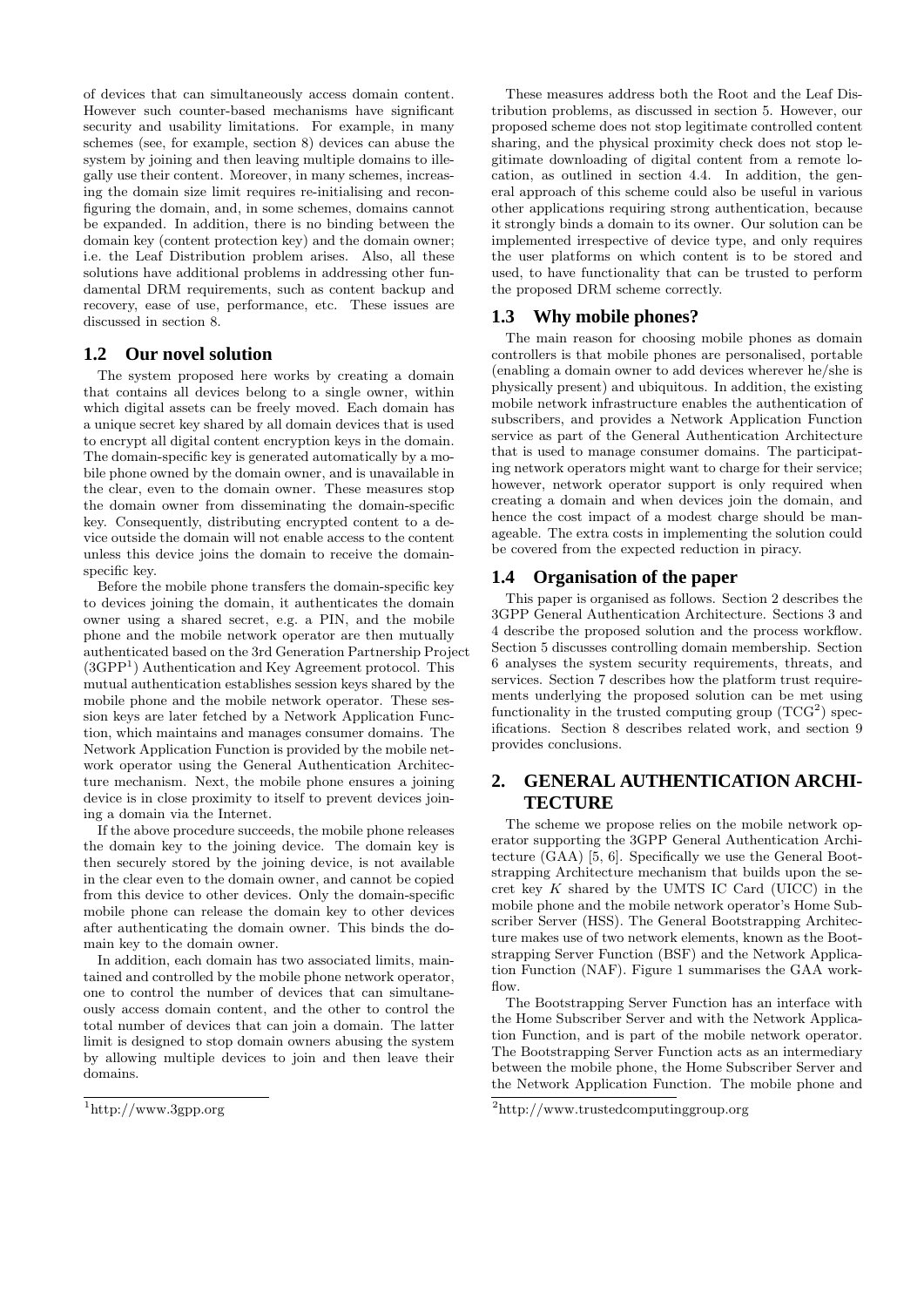of devices that can simultaneously access domain content. However such counter-based mechanisms have significant security and usability limitations. For example, in many schemes (see, for example, section 8) devices can abuse the system by joining and then leaving multiple domains to illegally use their content. Moreover, in many schemes, increasing the domain size limit requires re-initialising and reconfiguring the domain, and, in some schemes, domains cannot be expanded. In addition, there is no binding between the domain key (content protection key) and the domain owner; i.e. the Leaf Distribution problem arises. Also, all these solutions have additional problems in addressing other fundamental DRM requirements, such as content backup and recovery, ease of use, performance, etc. These issues are discussed in section 8.

# **1.2 Our novel solution**

The system proposed here works by creating a domain that contains all devices belong to a single owner, within which digital assets can be freely moved. Each domain has a unique secret key shared by all domain devices that is used to encrypt all digital content encryption keys in the domain. The domain-specific key is generated automatically by a mobile phone owned by the domain owner, and is unavailable in the clear, even to the domain owner. These measures stop the domain owner from disseminating the domain-specific key. Consequently, distributing encrypted content to a device outside the domain will not enable access to the content unless this device joins the domain to receive the domainspecific key.

Before the mobile phone transfers the domain-specific key to devices joining the domain, it authenticates the domain owner using a shared secret, e.g. a PIN, and the mobile phone and the mobile network operator are then mutually authenticated based on the 3rd Generation Partnership Project (3GPP<sup>1</sup>) Authentication and Key Agreement protocol. This mutual authentication establishes session keys shared by the mobile phone and the mobile network operator. These session keys are later fetched by a Network Application Function, which maintains and manages consumer domains. The Network Application Function is provided by the mobile network operator using the General Authentication Architecture mechanism. Next, the mobile phone ensures a joining device is in close proximity to itself to prevent devices joining a domain via the Internet.

If the above procedure succeeds, the mobile phone releases the domain key to the joining device. The domain key is then securely stored by the joining device, is not available in the clear even to the domain owner, and cannot be copied from this device to other devices. Only the domain-specific mobile phone can release the domain key to other devices after authenticating the domain owner. This binds the domain key to the domain owner.

In addition, each domain has two associated limits, maintained and controlled by the mobile phone network operator, one to control the number of devices that can simultaneously access domain content, and the other to control the total number of devices that can join a domain. The latter limit is designed to stop domain owners abusing the system by allowing multiple devices to join and then leave their domains.

These measures address both the Root and the Leaf Distribution problems, as discussed in section 5. However, our proposed scheme does not stop legitimate controlled content sharing, and the physical proximity check does not stop legitimate downloading of digital content from a remote location, as outlined in section 4.4. In addition, the general approach of this scheme could also be useful in various other applications requiring strong authentication, because it strongly binds a domain to its owner. Our solution can be implemented irrespective of device type, and only requires the user platforms on which content is to be stored and used, to have functionality that can be trusted to perform the proposed DRM scheme correctly.

# **1.3 Why mobile phones?**

The main reason for choosing mobile phones as domain controllers is that mobile phones are personalised, portable (enabling a domain owner to add devices wherever he/she is physically present) and ubiquitous. In addition, the existing mobile network infrastructure enables the authentication of subscribers, and provides a Network Application Function service as part of the General Authentication Architecture that is used to manage consumer domains. The participating network operators might want to charge for their service; however, network operator support is only required when creating a domain and when devices join the domain, and hence the cost impact of a modest charge should be manageable. The extra costs in implementing the solution could be covered from the expected reduction in piracy.

# **1.4 Organisation of the paper**

This paper is organised as follows. Section 2 describes the 3GPP General Authentication Architecture. Sections 3 and 4 describe the proposed solution and the process workflow. Section 5 discusses controlling domain membership. Section 6 analyses the system security requirements, threats, and services. Section 7 describes how the platform trust requirements underlying the proposed solution can be met using functionality in the trusted computing group  $(TCG<sup>2</sup>)$  specifications. Section 8 describes related work, and section 9 provides conclusions.

# **2. GENERAL AUTHENTICATION ARCHI-TECTURE**

The scheme we propose relies on the mobile network operator supporting the 3GPP General Authentication Architecture (GAA) [5, 6]. Specifically we use the General Bootstrapping Architecture mechanism that builds upon the secret key K shared by the UMTS IC Card (UICC) in the mobile phone and the mobile network operator's Home Subscriber Server (HSS). The General Bootstrapping Architecture makes use of two network elements, known as the Bootstrapping Server Function (BSF) and the Network Application Function (NAF). Figure 1 summarises the GAA workflow.

The Bootstrapping Server Function has an interface with the Home Subscriber Server and with the Network Application Function, and is part of the mobile network operator. The Bootstrapping Server Function acts as an intermediary between the mobile phone, the Home Subscriber Server and the Network Application Function. The mobile phone and

 $1$ http://www.3gpp.org

 $\mathrm{^{2}http://www.trustedcomputinggroup.org}$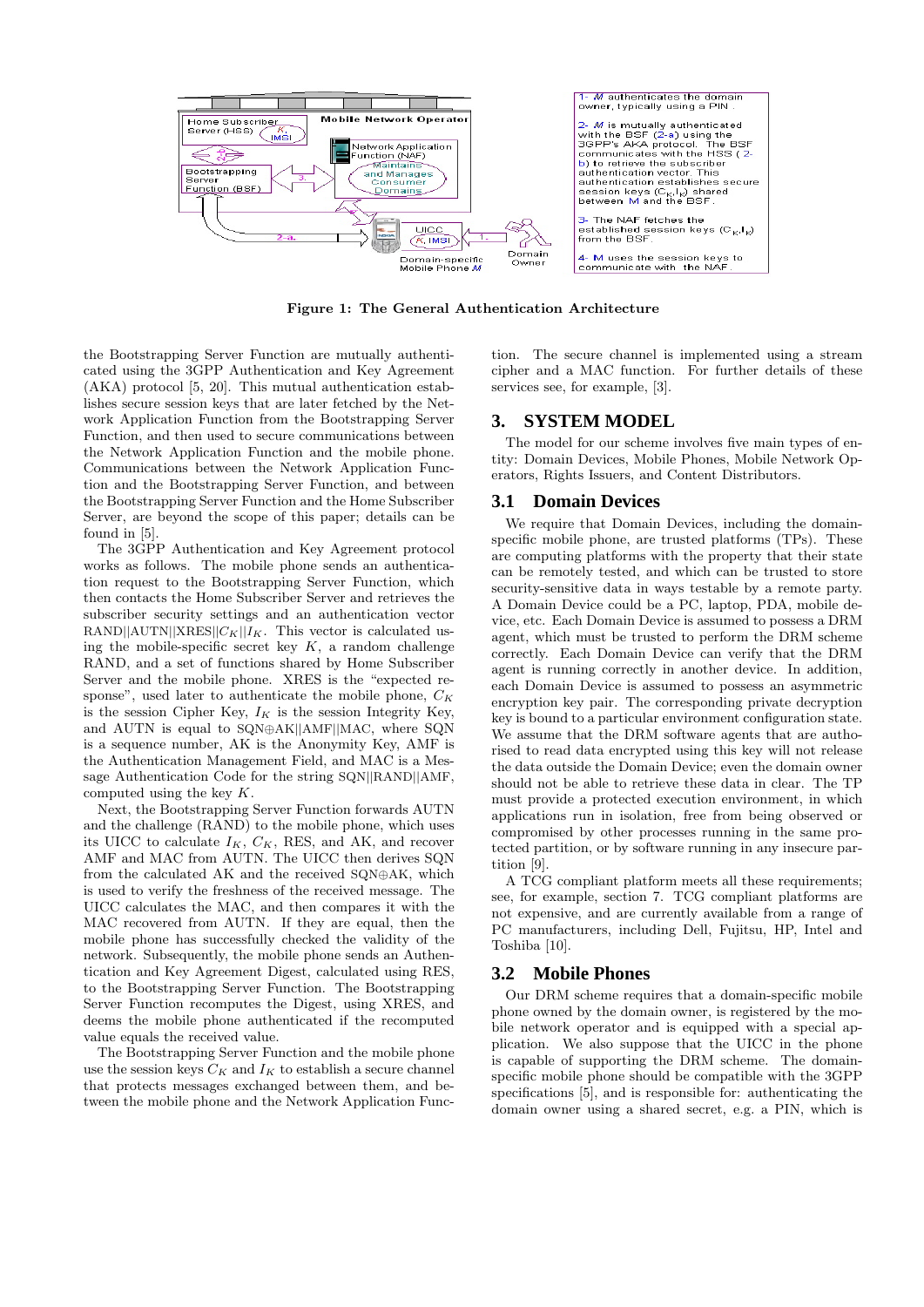

Figure 1: The General Authentication Architecture

the Bootstrapping Server Function are mutually authenticated using the 3GPP Authentication and Key Agreement (AKA) protocol [5, 20]. This mutual authentication establishes secure session keys that are later fetched by the Network Application Function from the Bootstrapping Server Function, and then used to secure communications between the Network Application Function and the mobile phone. Communications between the Network Application Function and the Bootstrapping Server Function, and between the Bootstrapping Server Function and the Home Subscriber Server, are beyond the scope of this paper; details can be found in [5].

The 3GPP Authentication and Key Agreement protocol works as follows. The mobile phone sends an authentication request to the Bootstrapping Server Function, which then contacts the Home Subscriber Server and retrieves the subscriber security settings and an authentication vector RAND||AUTN||XRES|| $C_K$ || $I_K$ . This vector is calculated using the mobile-specific secret key  $K$ , a random challenge RAND, and a set of functions shared by Home Subscriber Server and the mobile phone. XRES is the "expected response", used later to authenticate the mobile phone,  $C_K$ is the session Cipher Key,  $I_K$  is the session Integrity Key, and AUTN is equal to SQN⊕AK||AMF||MAC, where SQN is a sequence number, AK is the Anonymity Key, AMF is the Authentication Management Field, and MAC is a Message Authentication Code for the string SQN||RAND||AMF, computed using the key K.

Next, the Bootstrapping Server Function forwards AUTN and the challenge (RAND) to the mobile phone, which uses its UICC to calculate  $I_K$ ,  $C_K$ , RES, and AK, and recover AMF and MAC from AUTN. The UICC then derives SQN from the calculated AK and the received SQN⊕AK, which is used to verify the freshness of the received message. The UICC calculates the MAC, and then compares it with the MAC recovered from AUTN. If they are equal, then the mobile phone has successfully checked the validity of the network. Subsequently, the mobile phone sends an Authentication and Key Agreement Digest, calculated using RES, to the Bootstrapping Server Function. The Bootstrapping Server Function recomputes the Digest, using XRES, and deems the mobile phone authenticated if the recomputed value equals the received value.

The Bootstrapping Server Function and the mobile phone use the session keys  $C_K$  and  $I_K$  to establish a secure channel that protects messages exchanged between them, and between the mobile phone and the Network Application Function. The secure channel is implemented using a stream cipher and a MAC function. For further details of these services see, for example, [3].

### **3. SYSTEM MODEL**

The model for our scheme involves five main types of entity: Domain Devices, Mobile Phones, Mobile Network Operators, Rights Issuers, and Content Distributors.

#### **3.1 Domain Devices**

We require that Domain Devices, including the domainspecific mobile phone, are trusted platforms (TPs). These are computing platforms with the property that their state can be remotely tested, and which can be trusted to store security-sensitive data in ways testable by a remote party. A Domain Device could be a PC, laptop, PDA, mobile device, etc. Each Domain Device is assumed to possess a DRM agent, which must be trusted to perform the DRM scheme correctly. Each Domain Device can verify that the DRM agent is running correctly in another device. In addition, each Domain Device is assumed to possess an asymmetric encryption key pair. The corresponding private decryption key is bound to a particular environment configuration state. We assume that the DRM software agents that are authorised to read data encrypted using this key will not release the data outside the Domain Device; even the domain owner should not be able to retrieve these data in clear. The TP must provide a protected execution environment, in which applications run in isolation, free from being observed or compromised by other processes running in the same protected partition, or by software running in any insecure partition [9].

A TCG compliant platform meets all these requirements; see, for example, section 7. TCG compliant platforms are not expensive, and are currently available from a range of PC manufacturers, including Dell, Fujitsu, HP, Intel and Toshiba [10].

#### **3.2 Mobile Phones**

Our DRM scheme requires that a domain-specific mobile phone owned by the domain owner, is registered by the mobile network operator and is equipped with a special application. We also suppose that the UICC in the phone is capable of supporting the DRM scheme. The domainspecific mobile phone should be compatible with the 3GPP specifications [5], and is responsible for: authenticating the domain owner using a shared secret, e.g. a PIN, which is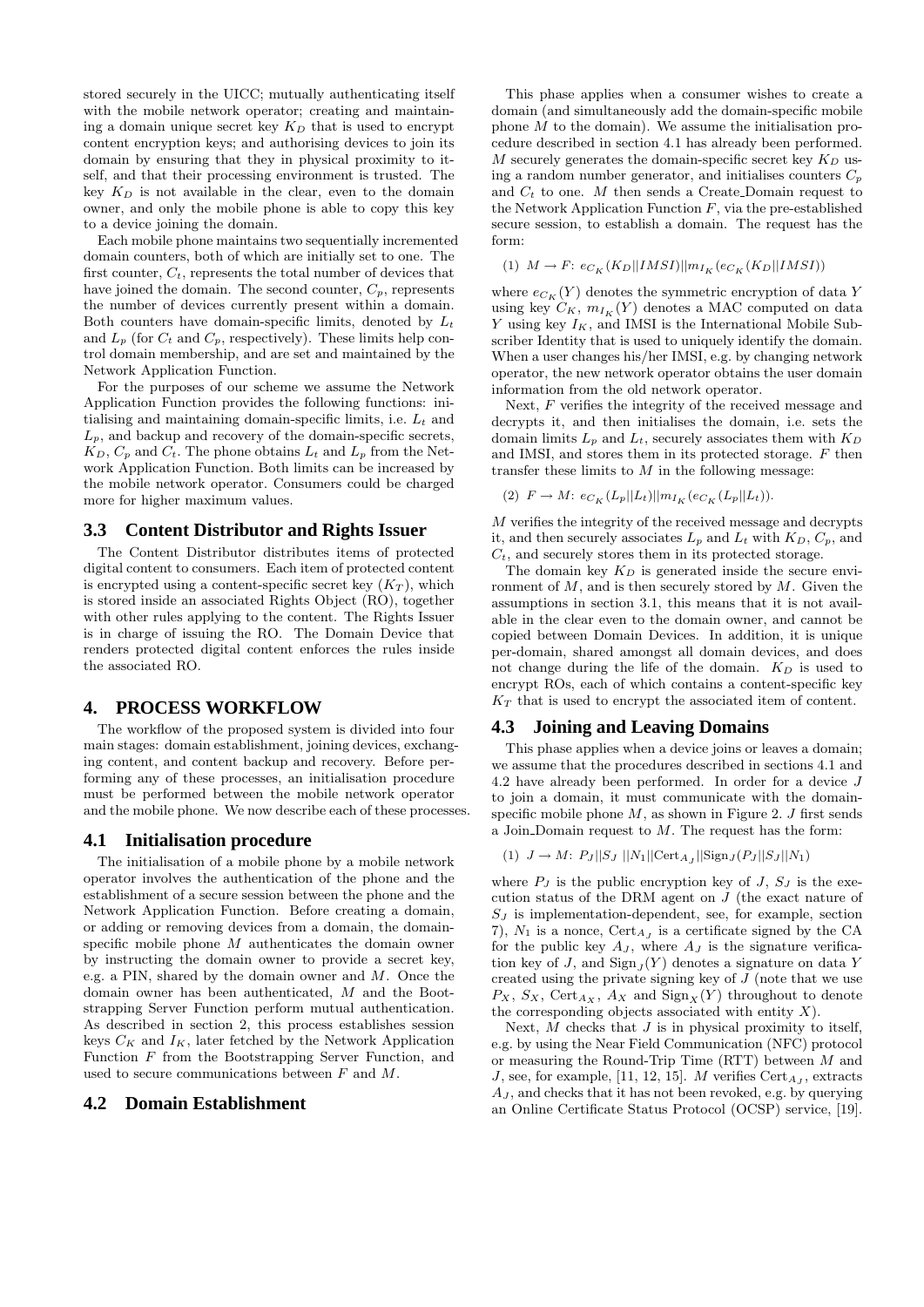stored securely in the UICC; mutually authenticating itself with the mobile network operator; creating and maintaining a domain unique secret key  $K_D$  that is used to encrypt content encryption keys; and authorising devices to join its domain by ensuring that they in physical proximity to itself, and that their processing environment is trusted. The key  $K_D$  is not available in the clear, even to the domain owner, and only the mobile phone is able to copy this key to a device joining the domain.

Each mobile phone maintains two sequentially incremented domain counters, both of which are initially set to one. The first counter,  $C_t$ , represents the total number of devices that have joined the domain. The second counter,  $C_p$ , represents the number of devices currently present within a domain. Both counters have domain-specific limits, denoted by  $L_t$ and  $L_p$  (for  $C_t$  and  $C_p$ , respectively). These limits help control domain membership, and are set and maintained by the Network Application Function.

For the purposes of our scheme we assume the Network Application Function provides the following functions: initialising and maintaining domain-specific limits, i.e.  $L_t$  and  $L_p$ , and backup and recovery of the domain-specific secrets,  $K_D$ ,  $C_p$  and  $C_t$ . The phone obtains  $L_t$  and  $L_p$  from the Network Application Function. Both limits can be increased by the mobile network operator. Consumers could be charged more for higher maximum values.

#### **3.3 Content Distributor and Rights Issuer**

The Content Distributor distributes items of protected digital content to consumers. Each item of protected content is encrypted using a content-specific secret key  $(K_T)$ , which is stored inside an associated Rights Object (RO), together with other rules applying to the content. The Rights Issuer is in charge of issuing the RO. The Domain Device that renders protected digital content enforces the rules inside the associated RO.

## **4. PROCESS WORKFLOW**

The workflow of the proposed system is divided into four main stages: domain establishment, joining devices, exchanging content, and content backup and recovery. Before performing any of these processes, an initialisation procedure must be performed between the mobile network operator and the mobile phone. We now describe each of these processes.

#### **4.1 Initialisation procedure**

The initialisation of a mobile phone by a mobile network operator involves the authentication of the phone and the establishment of a secure session between the phone and the Network Application Function. Before creating a domain, or adding or removing devices from a domain, the domainspecific mobile phone M authenticates the domain owner by instructing the domain owner to provide a secret key, e.g. a PIN, shared by the domain owner and M. Once the domain owner has been authenticated, M and the Bootstrapping Server Function perform mutual authentication. As described in section 2, this process establishes session keys  $C_K$  and  $I_K$ , later fetched by the Network Application Function  $F$  from the Bootstrapping Server Function, and used to secure communications between F and M.

#### **4.2 Domain Establishment**

This phase applies when a consumer wishes to create a domain (and simultaneously add the domain-specific mobile phone  $M$  to the domain). We assume the initialisation procedure described in section 4.1 has already been performed.  $M$  securely generates the domain-specific secret key  $K_D$  using a random number generator, and initialises counters  $C_p$ and  $C_t$  to one. M then sends a Create\_Domain request to the Network Application Function  $F$ , via the pre-established secure session, to establish a domain. The request has the form:

(1)  $M \rightarrow F: e_{C_K}(K_D||IMSI)||m_{I_K}(e_{C_K}(K_D||IMSI))$ 

where  $e_{C_K}(Y)$  denotes the symmetric encryption of data Y using key  $C_K$ ,  $m_{I_K}(Y)$  denotes a MAC computed on data Y using key  $I_K$ , and IMSI is the International Mobile Subscriber Identity that is used to uniquely identify the domain. When a user changes his/her IMSI, e.g. by changing network operator, the new network operator obtains the user domain information from the old network operator.

Next, F verifies the integrity of the received message and decrypts it, and then initialises the domain, i.e. sets the domain limits  $L_p$  and  $L_t$ , securely associates them with  $K_D$ and IMSI, and stores them in its protected storage. F then transfer these limits to  $M$  in the following message:

(2) 
$$
F \to M: e_{C_K}(L_p||L_t)||m_{I_K}(e_{C_K}(L_p||L_t)).
$$

M verifies the integrity of the received message and decrypts it, and then securely associates  $L_p$  and  $L_t$  with  $K_p$ ,  $C_p$ , and  $C_t$ , and securely stores them in its protected storage.

The domain key  $K_D$  is generated inside the secure environment of  $M$ , and is then securely stored by  $M$ . Given the assumptions in section 3.1, this means that it is not available in the clear even to the domain owner, and cannot be copied between Domain Devices. In addition, it is unique per-domain, shared amongst all domain devices, and does not change during the life of the domain.  $K_D$  is used to encrypt ROs, each of which contains a content-specific key  $K_T$  that is used to encrypt the associated item of content.

#### **4.3 Joining and Leaving Domains**

This phase applies when a device joins or leaves a domain; we assume that the procedures described in sections 4.1 and 4.2 have already been performed. In order for a device J to join a domain, it must communicate with the domainspecific mobile phone  $M$ , as shown in Figure 2.  $J$  first sends a Join Domain request to  $M$ . The request has the form:

(1) 
$$
J \to M
$$
:  $P_J||S_J||N_1||$ Cert<sub>A\_J</sub>|| $\text{Sign}_J(P_J||S_J||N_1)$ 

where  $P_J$  is the public encryption key of  $J, S_J$  is the execution status of the DRM agent on  $J$  (the exact nature of  $S_J$  is implementation-dependent, see, for example, section 7),  $N_1$  is a nonce,  $\text{Cert}_{A_J}$  is a certificate signed by the CA for the public key  $A_J$ , where  $A_J$  is the signature verification key of  $J$ , and  $\text{Sign}_J(Y)$  denotes a signature on data Y created using the private signing key of  $J$  (note that we use  $P_X$ ,  $S_X$ , Cert<sub>Ax</sub>,  $A_X$  and  $\text{Sign}_X(Y)$  throughout to denote the corresponding objects associated with entity  $X$ ).

Next,  $M$  checks that  $J$  is in physical proximity to itself, e.g. by using the Near Field Communication (NFC) protocol or measuring the Round-Trip Time (RTT) between  $M$  and J, see, for example, [11, 12, 15]. M verifies  $\text{Cert}_{A_J}$ , extracts  $A_J$ , and checks that it has not been revoked, e.g. by querying an Online Certificate Status Protocol (OCSP) service, [19].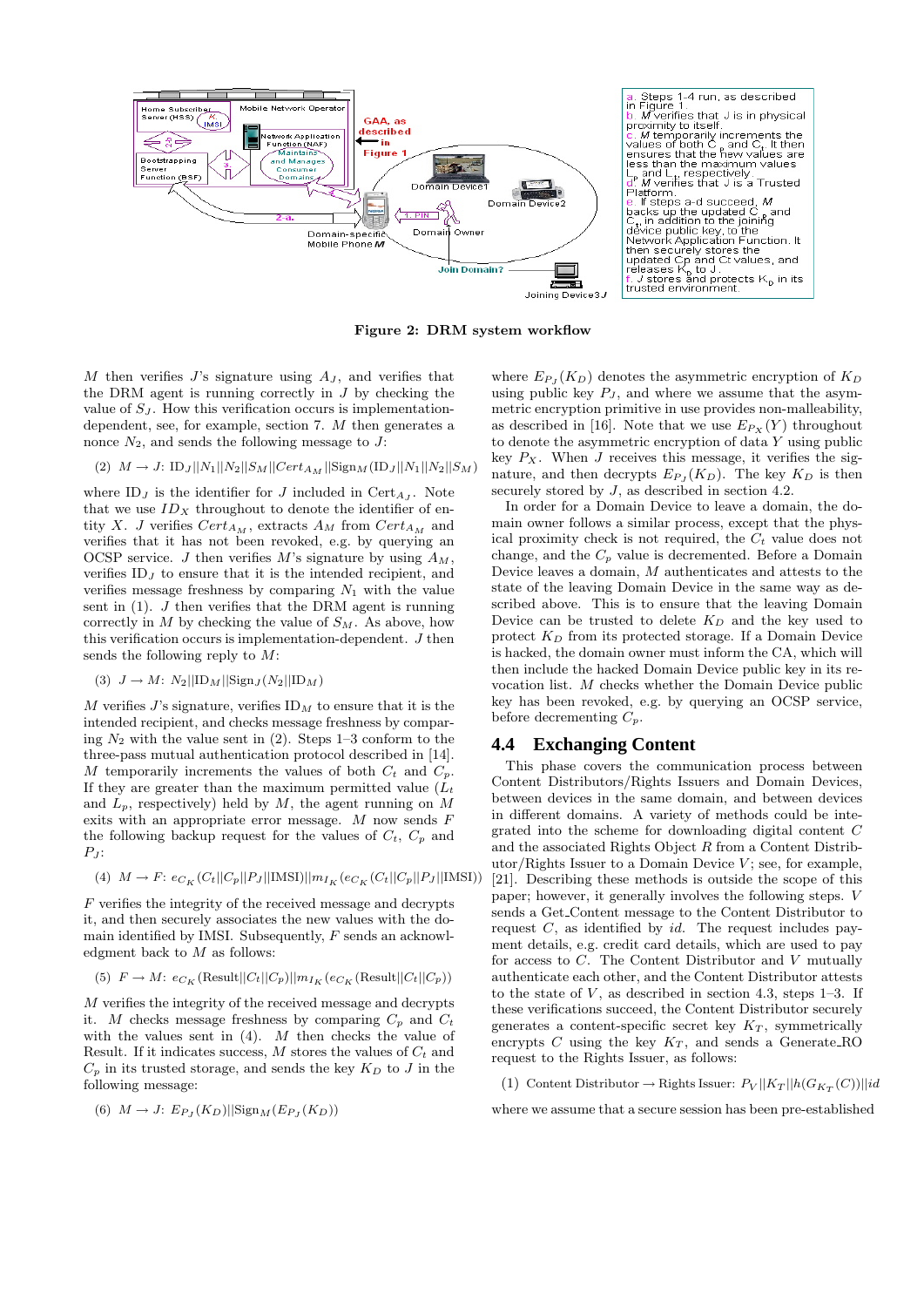

Figure 2: DRM system workflow

M then verifies  $J$ 's signature using  $A_J$ , and verifies that the DRM agent is running correctly in  $J$  by checking the value of  $S_J$ . How this verification occurs is implementationdependent, see, for example, section 7. M then generates a nonce  $N_2$ , and sends the following message to  $J$ :

(2) 
$$
M \to J: \text{ID}_J||N_1||N_2||S_M||Cert_{A_M}||\text{Sign}_M(\text{ID}_J||N_1||N_2||S_M)
$$

where  $ID_J$  is the identifier for J included in  $Cert_{A_J}$ . Note that we use  $ID_X$  throughout to denote the identifier of entity X. J verifies  $Cert_{A_M}$ , extracts  $A_M$  from  $Cert_{A_M}$  and verifies that it has not been revoked, e.g. by querying an OCSP service. J then verifies M's signature by using  $A_M$ , verifies  $ID_J$  to ensure that it is the intended recipient, and verifies message freshness by comparing  $N_1$  with the value sent in  $(1)$ . J then verifies that the DRM agent is running correctly in M by checking the value of  $S_M$ . As above, how this verification occurs is implementation-dependent. J then sends the following reply to M:

(3) 
$$
J \rightarrow M
$$
:  $N_2||\text{ID}_M||\text{Sign}_J(N_2||\text{ID}_M)$ 

M verifies J's signature, verifies  $ID_M$  to ensure that it is the intended recipient, and checks message freshness by comparing  $N_2$  with the value sent in (2). Steps 1–3 conform to the three-pass mutual authentication protocol described in [14]. M temporarily increments the values of both  $C_t$  and  $C_p$ . If they are greater than the maximum permitted value  $(L_t)$ and  $L_p$ , respectively) held by M, the agent running on M exits with an appropriate error message. M now sends F the following backup request for the values of  $C_t$ ,  $C_p$  and  $P_J$ :

(4) 
$$
M \to F: e_{C_K}(C_t || C_p || P_J || \text{IMSI}) || m_{I_K}(e_{C_K}(C_t || C_p || P_J || \text{IMSI}))
$$

F verifies the integrity of the received message and decrypts it, and then securely associates the new values with the domain identified by IMSI. Subsequently,  $F$  sends an acknowledgment back to  $M$  as follows:

(5) 
$$
F \to M
$$
:  $e_{C_K}(\text{Result}||C_t||C_p)||m_{I_K}(e_{C_K}(\text{Result}||C_t||C_p))$ 

M verifies the integrity of the received message and decrypts it. M checks message freshness by comparing  $C_p$  and  $C_t$ with the values sent in  $(4)$ . M then checks the value of Result. If it indicates success,  $M$  stores the values of  $C_t$  and  $C_p$  in its trusted storage, and sends the key  $K_D$  to J in the following message:

(6) 
$$
M \rightarrow J
$$
:  $E_{P_J}(K_D) \mid |\text{Sign}_M(E_{P_J}(K_D))|$ 

where  $E_{P_J}(K_D)$  denotes the asymmetric encryption of  $K_D$ using public key  $P_J$ , and where we assume that the asymmetric encryption primitive in use provides non-malleability, as described in [16]. Note that we use  $E_{P_X}(Y)$  throughout to denote the asymmetric encryption of data  $Y$  using public key  $P_X$ . When J receives this message, it verifies the signature, and then decrypts  $E_{P_J}(K_D)$ . The key  $K_D$  is then securely stored by  $J$ , as described in section 4.2.

In order for a Domain Device to leave a domain, the domain owner follows a similar process, except that the physical proximity check is not required, the  $C_t$  value does not change, and the  $C_p$  value is decremented. Before a Domain Device leaves a domain, M authenticates and attests to the state of the leaving Domain Device in the same way as described above. This is to ensure that the leaving Domain Device can be trusted to delete  $K_D$  and the key used to protect  $K_D$  from its protected storage. If a Domain Device is hacked, the domain owner must inform the CA, which will then include the hacked Domain Device public key in its revocation list. M checks whether the Domain Device public key has been revoked, e.g. by querying an OCSP service, before decrementing  $C_p$ .

## **4.4 Exchanging Content**

This phase covers the communication process between Content Distributors/Rights Issuers and Domain Devices, between devices in the same domain, and between devices in different domains. A variety of methods could be integrated into the scheme for downloading digital content C and the associated Rights Object R from a Content Distributor/Rights Issuer to a Domain Device  $V$ ; see, for example, [21]. Describing these methods is outside the scope of this paper; however, it generally involves the following steps. V sends a Get Content message to the Content Distributor to request  $C$ , as identified by  $id$ . The request includes payment details, e.g. credit card details, which are used to pay for access to C. The Content Distributor and V mutually authenticate each other, and the Content Distributor attests to the state of  $V$ , as described in section 4.3, steps 1–3. If these verifications succeed, the Content Distributor securely generates a content-specific secret key  $K_T$ , symmetrically encrypts  $C$  using the key  $K_T$ , and sends a Generate RO request to the Rights Issuer, as follows:

(1) Content Distributor  $\rightarrow$  Rights Issuer:  $P_V||K_T||h(G_{K_T}(C))||id$ 

where we assume that a secure session has been pre-established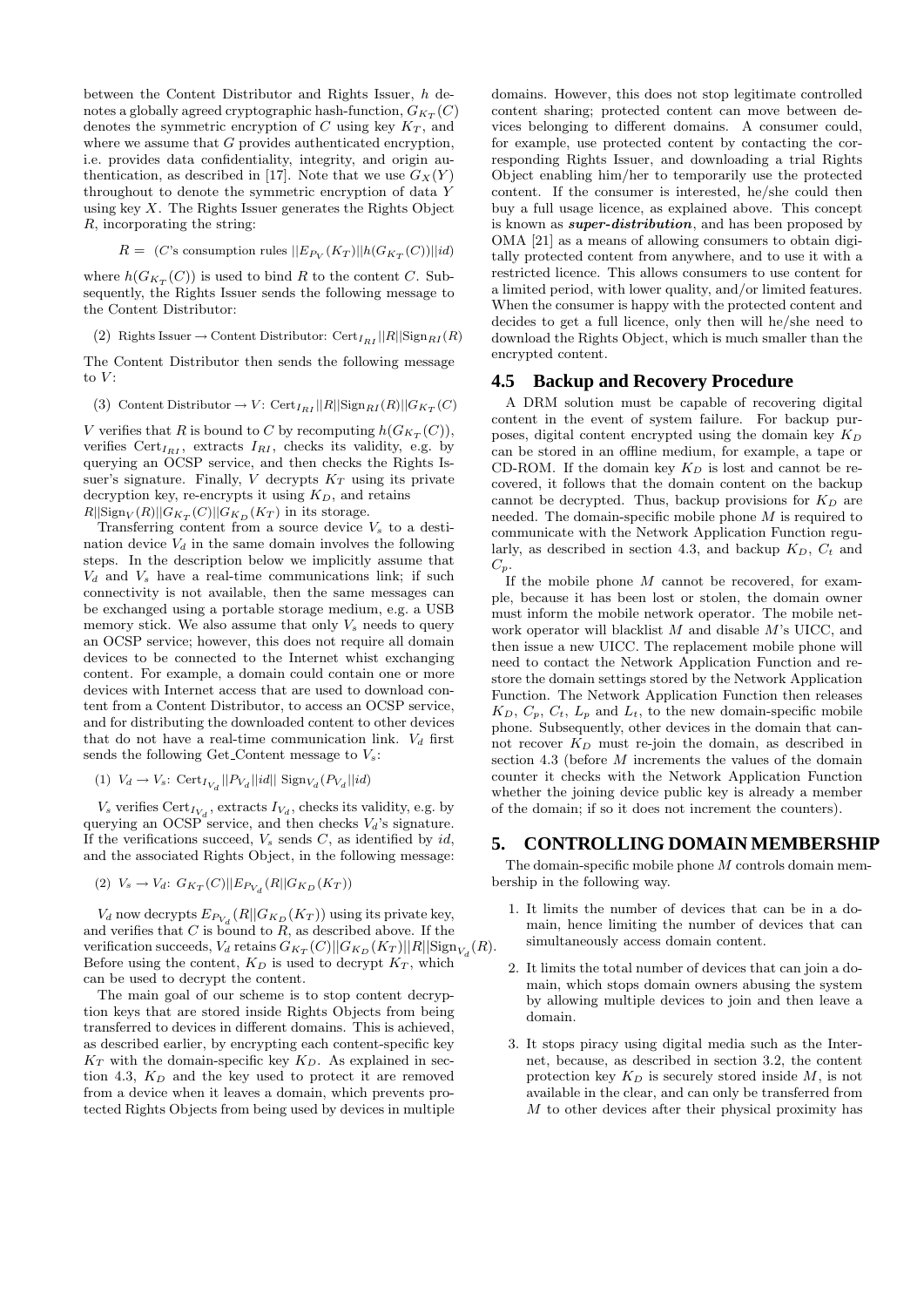between the Content Distributor and Rights Issuer, h denotes a globally agreed cryptographic hash-function,  $G_{K_T}(C)$ denotes the symmetric encryption of C using key  $K_T$ , and where we assume that G provides authenticated encryption, i.e. provides data confidentiality, integrity, and origin authentication, as described in [17]. Note that we use  $G_X(Y)$ throughout to denote the symmetric encryption of data Y using key X. The Rights Issuer generates the Rights Object R, incorporating the string:

$$
R = (C's \text{ consumption rules } ||E_{P_V}(K_T)||h(G_{K_T}(C))||id)
$$

where  $h(G_{K_T}(C))$  is used to bind R to the content C. Subsequently, the Rights Issuer sends the following message to the Content Distributor:

(2) Rights Issuer  $\rightarrow$  Content Distributor:  $\text{Cert}_{I_{RI}} ||R|| \text{Sign}_{RI}(R)$ 

The Content Distributor then sends the following message to  $V$ :

(3) Content Distributor  $\rightarrow V$ : Cert<sub>IRI</sub>||R||Sign<sub>RI</sub>(R)|| $G_{K_T}(C)$ 

V verifies that R is bound to C by recomputing  $h(G_{K_T}(C))$ , verifies  $Cert_{I_{RI}}$ , extracts  $I_{RI}$ , checks its validity, e.g. by querying an OCSP service, and then checks the Rights Issuer's signature. Finally,  $V$  decrypts  $K_T$  using its private decryption key, re-encrypts it using  $K_D$ , and retains  $R||\text{Sign}_V(R)||G_{K_T}(C)||G_{K_D}(K_T)$  in its storage.

Transferring content from a source device  $V<sub>s</sub>$  to a destination device  $V_d$  in the same domain involves the following steps. In the description below we implicitly assume that  $V_d$  and  $V_s$  have a real-time communications link; if such connectivity is not available, then the same messages can be exchanged using a portable storage medium, e.g. a USB memory stick. We also assume that only  $V_s$  needs to query an OCSP service; however, this does not require all domain devices to be connected to the Internet whist exchanging content. For example, a domain could contain one or more devices with Internet access that are used to download content from a Content Distributor, to access an OCSP service, and for distributing the downloaded content to other devices that do not have a real-time communication link.  $V_d$  first sends the following Get<sub>-Content</sub> message to  $V_s$ :

(1)  $V_d \rightarrow V_s$ :  $\text{Cert}_{I_{V_d}}||P_{V_d}||id||$   $\text{Sign}_{V_d}(P_{V_d}||id)$ 

 $V_s$  verifies  $Cert_{I_{V_d}}$ , extracts  $I_{V_d}$ , checks its validity, e.g. by querying an OCSP service, and then checks  $V_d$ 's signature. If the verifications succeed,  $V_s$  sends  $C$ , as identified by  $id$ , and the associated Rights Object, in the following message:

(2) 
$$
V_s \to V_d
$$
:  $G_{K_T}(C)||E_{P_{V_d}}(R||G_{K_D}(K_T))$ 

 $V_d$  now decrypts  $E_{P_{V_d}}(R||G_{K_D}(K_T))$  using its private key, and verifies that C is bound to R, as described above. If the verification succeeds,  $V_d$  retains  $G_{K_T}(C)||G_{K_D}(K_T)||R||\text{Sign}_{V_d}(R)$ . Before using the content,  $K_D$  is used to decrypt  $K_T$ , which can be used to decrypt the content.

The main goal of our scheme is to stop content decryption keys that are stored inside Rights Objects from being transferred to devices in different domains. This is achieved, as described earlier, by encrypting each content-specific key  $K_T$  with the domain-specific key  $K_D$ . As explained in section 4.3,  $K_D$  and the key used to protect it are removed from a device when it leaves a domain, which prevents protected Rights Objects from being used by devices in multiple

domains. However, this does not stop legitimate controlled content sharing; protected content can move between devices belonging to different domains. A consumer could, for example, use protected content by contacting the corresponding Rights Issuer, and downloading a trial Rights Object enabling him/her to temporarily use the protected content. If the consumer is interested, he/she could then buy a full usage licence, as explained above. This concept is known as *super-distribution*, and has been proposed by OMA [21] as a means of allowing consumers to obtain digitally protected content from anywhere, and to use it with a restricted licence. This allows consumers to use content for a limited period, with lower quality, and/or limited features. When the consumer is happy with the protected content and decides to get a full licence, only then will he/she need to download the Rights Object, which is much smaller than the encrypted content.

#### **4.5 Backup and Recovery Procedure**

A DRM solution must be capable of recovering digital content in the event of system failure. For backup purposes, digital content encrypted using the domain key  $K_D$ can be stored in an offline medium, for example, a tape or CD-ROM. If the domain key  $K_D$  is lost and cannot be recovered, it follows that the domain content on the backup cannot be decrypted. Thus, backup provisions for  $K_D$  are needed. The domain-specific mobile phone M is required to communicate with the Network Application Function regularly, as described in section 4.3, and backup  $K_D$ ,  $C_t$  and  $C_p$ .

If the mobile phone  $M$  cannot be recovered, for example, because it has been lost or stolen, the domain owner must inform the mobile network operator. The mobile network operator will blacklist M and disable M's UICC, and then issue a new UICC. The replacement mobile phone will need to contact the Network Application Function and restore the domain settings stored by the Network Application Function. The Network Application Function then releases  $K_D, C_p, C_t, L_p$  and  $L_t$ , to the new domain-specific mobile phone. Subsequently, other devices in the domain that cannot recover  $K_D$  must re-join the domain, as described in section 4.3 (before M increments the values of the domain counter it checks with the Network Application Function whether the joining device public key is already a member of the domain; if so it does not increment the counters).

#### **5. CONTROLLING DOMAIN MEMBERSHIP**

The domain-specific mobile phone M controls domain membership in the following way.

- 1. It limits the number of devices that can be in a domain, hence limiting the number of devices that can simultaneously access domain content.
- 2. It limits the total number of devices that can join a domain, which stops domain owners abusing the system by allowing multiple devices to join and then leave a domain.
- 3. It stops piracy using digital media such as the Internet, because, as described in section 3.2, the content protection key  $K_D$  is securely stored inside  $M$ , is not available in the clear, and can only be transferred from M to other devices after their physical proximity has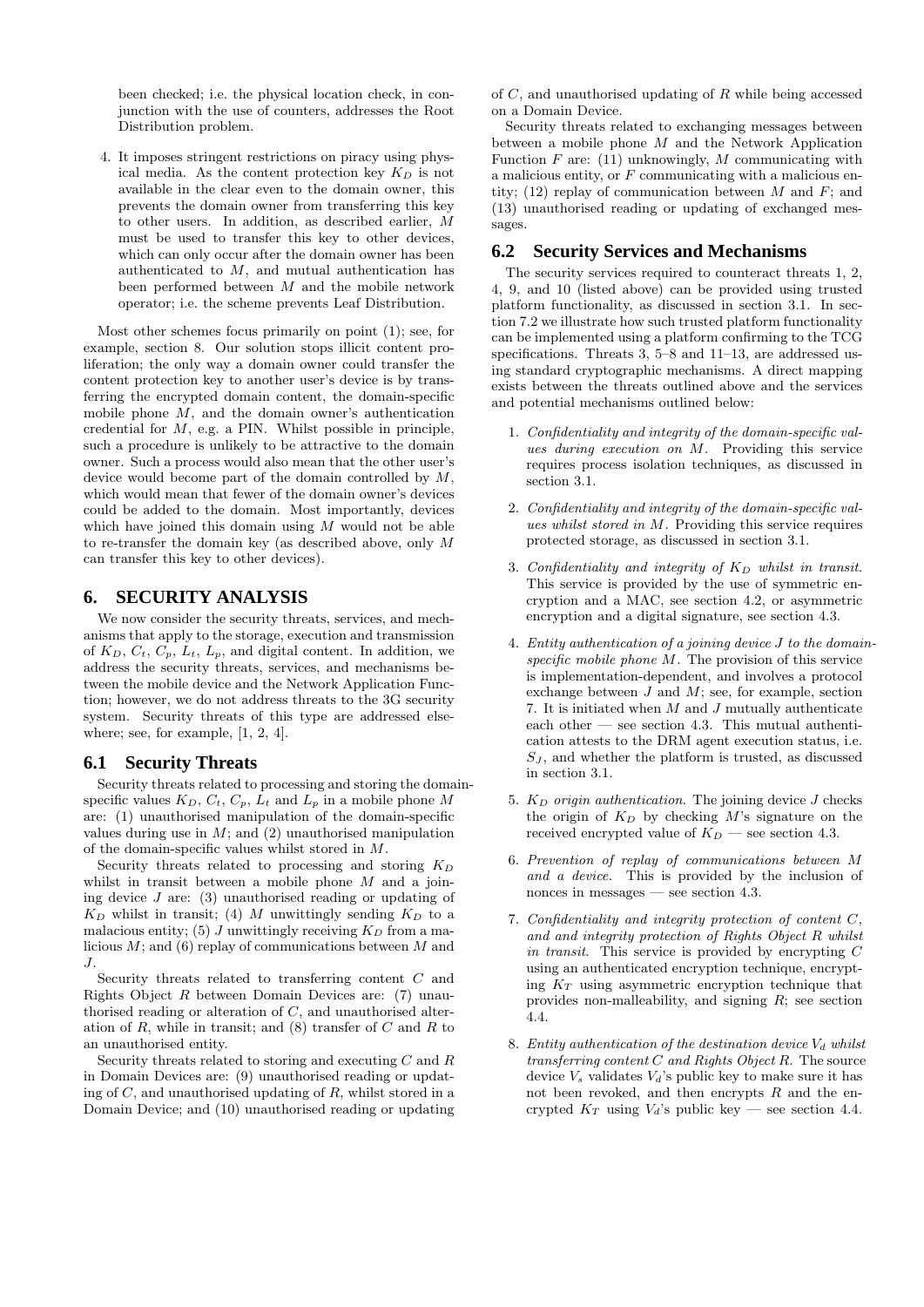been checked; i.e. the physical location check, in conjunction with the use of counters, addresses the Root Distribution problem.

4. It imposes stringent restrictions on piracy using physical media. As the content protection key  $K_D$  is not available in the clear even to the domain owner, this prevents the domain owner from transferring this key to other users. In addition, as described earlier, M must be used to transfer this key to other devices, which can only occur after the domain owner has been authenticated to M, and mutual authentication has been performed between M and the mobile network operator; i.e. the scheme prevents Leaf Distribution.

Most other schemes focus primarily on point (1); see, for example, section 8. Our solution stops illicit content proliferation; the only way a domain owner could transfer the content protection key to another user's device is by transferring the encrypted domain content, the domain-specific mobile phone  $M$ , and the domain owner's authentication credential for M, e.g. a PIN. Whilst possible in principle, such a procedure is unlikely to be attractive to the domain owner. Such a process would also mean that the other user's device would become part of the domain controlled by M, which would mean that fewer of the domain owner's devices could be added to the domain. Most importantly, devices which have joined this domain using  $M$  would not be able to re-transfer the domain key (as described above, only M can transfer this key to other devices).

# **6. SECURITY ANALYSIS**

We now consider the security threats, services, and mechanisms that apply to the storage, execution and transmission of  $K_D$ ,  $C_t$ ,  $C_p$ ,  $L_t$ ,  $L_p$ , and digital content. In addition, we address the security threats, services, and mechanisms between the mobile device and the Network Application Function; however, we do not address threats to the 3G security system. Security threats of this type are addressed elsewhere; see, for example, [1, 2, 4].

### **6.1 Security Threats**

Security threats related to processing and storing the domainspecific values  $K_D$ ,  $C_t$ ,  $C_p$ ,  $L_t$  and  $L_p$  in a mobile phone M are: (1) unauthorised manipulation of the domain-specific values during use in  $M$ ; and  $(2)$  unauthorised manipulation of the domain-specific values whilst stored in M.

Security threats related to processing and storing  $K_D$ whilst in transit between a mobile phone  $M$  and a joining device  $J$  are: (3) unauthorised reading or updating of  $K_D$  whilst in transit; (4) M unwittingly sending  $K_D$  to a malacious entity; (5) J unwittingly receiving  $K_D$  from a malicious  $M$ ; and  $(6)$  replay of communications between M and J.

Security threats related to transferring content C and Rights Object R between Domain Devices are: (7) unauthorised reading or alteration of C, and unauthorised alteration of  $R$ , while in transit; and  $(8)$  transfer of  $C$  and  $R$  to an unauthorised entity.

Security threats related to storing and executing C and R in Domain Devices are: (9) unauthorised reading or updating of  $C$ , and unauthorised updating of  $R$ , whilst stored in a Domain Device; and (10) unauthorised reading or updating of  $C$ , and unauthorised updating of  $R$  while being accessed on a Domain Device.

Security threats related to exchanging messages between between a mobile phone  $M$  and the Network Application Function  $F$  are: (11) unknowingly,  $M$  communicating with a malicious entity, or  $F$  communicating with a malicious entity; (12) replay of communication between  $M$  and  $F$ ; and (13) unauthorised reading or updating of exchanged messages.

### **6.2 Security Services and Mechanisms**

The security services required to counteract threats 1, 2, 4, 9, and 10 (listed above) can be provided using trusted platform functionality, as discussed in section 3.1. In section 7.2 we illustrate how such trusted platform functionality can be implemented using a platform confirming to the TCG specifications. Threats 3, 5–8 and 11–13, are addressed using standard cryptographic mechanisms. A direct mapping exists between the threats outlined above and the services and potential mechanisms outlined below:

- 1. Confidentiality and integrity of the domain-specific values during execution on M. Providing this service requires process isolation techniques, as discussed in section 3.1.
- 2. Confidentiality and integrity of the domain-specific values whilst stored in M. Providing this service requires protected storage, as discussed in section 3.1.
- 3. Confidentiality and integrity of  $K_D$  whilst in transit. This service is provided by the use of symmetric encryption and a MAC, see section 4.2, or asymmetric encryption and a digital signature, see section 4.3.
- 4. Entity authentication of a joining device J to the domainspecific mobile phone M. The provision of this service is implementation-dependent, and involves a protocol exchange between  $J$  and  $M$ ; see, for example, section 7. It is initiated when M and J mutually authenticate each other  $-$  see section 4.3. This mutual authentication attests to the DRM agent execution status, i.e.  $S_J$ , and whether the platform is trusted, as discussed in section 3.1.
- 5.  $K_D$  origin authentication. The joining device  $J$  checks the origin of  $K_D$  by checking M's signature on the received encrypted value of  $K_D$  — see section 4.3.
- 6. Prevention of replay of communications between M and a device. This is provided by the inclusion of nonces in messages — see section 4.3.
- 7. Confidentiality and integrity protection of content C, and and integrity protection of Rights Object R whilst in transit. This service is provided by encrypting C using an authenticated encryption technique, encrypting  $K_T$  using asymmetric encryption technique that provides non-malleability, and signing  $R$ ; see section 4.4.
- 8. Entity authentication of the destination device  $V_d$  whilst transferring content C and Rights Object R. The source device  $V_s$  validates  $V_d$ 's public key to make sure it has not been revoked, and then encrypts  $R$  and the encrypted  $K_T$  using  $V_d$ 's public key — see section 4.4.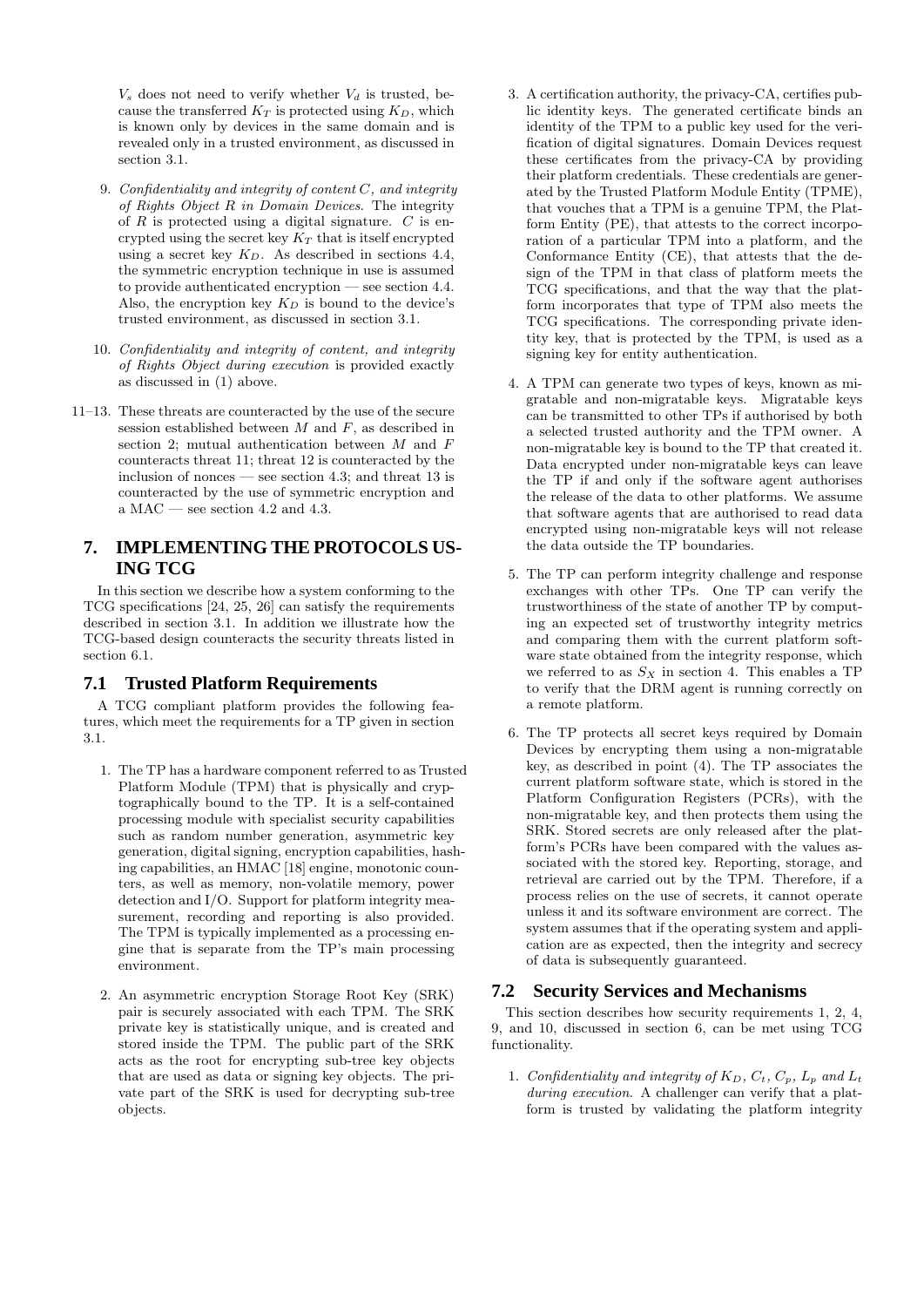$V_s$  does not need to verify whether  $V_d$  is trusted, because the transferred  $K_T$  is protected using  $K_D$ , which is known only by devices in the same domain and is revealed only in a trusted environment, as discussed in section 3.1.

- 9. Confidentiality and integrity of content C, and integrity of Rights Object R in Domain Devices. The integrity of  $R$  is protected using a digital signature.  $C$  is encrypted using the secret key  $K_T$  that is itself encrypted using a secret key  $K_D$ . As described in sections 4.4, the symmetric encryption technique in use is assumed to provide authenticated encryption — see section 4.4. Also, the encryption key  $K_D$  is bound to the device's trusted environment, as discussed in section 3.1.
- 10. Confidentiality and integrity of content, and integrity of Rights Object during execution is provided exactly as discussed in (1) above.
- 11–13. These threats are counteracted by the use of the secure session established between  $M$  and  $F$ , as described in section 2; mutual authentication between M and F counteracts threat 11; threat 12 is counteracted by the inclusion of nonces — see section 4.3; and threat 13 is counteracted by the use of symmetric encryption and a  $MAC$  — see section 4.2 and 4.3.

# **7. IMPLEMENTING THE PROTOCOLS US-ING TCG**

In this section we describe how a system conforming to the TCG specifications [24, 25, 26] can satisfy the requirements described in section 3.1. In addition we illustrate how the TCG-based design counteracts the security threats listed in section 6.1.

# **7.1 Trusted Platform Requirements**

A TCG compliant platform provides the following features, which meet the requirements for a TP given in section 3.1.

- 1. The TP has a hardware component referred to as Trusted Platform Module (TPM) that is physically and cryptographically bound to the TP. It is a self-contained processing module with specialist security capabilities such as random number generation, asymmetric key generation, digital signing, encryption capabilities, hashing capabilities, an HMAC [18] engine, monotonic counters, as well as memory, non-volatile memory, power detection and I/O. Support for platform integrity measurement, recording and reporting is also provided. The TPM is typically implemented as a processing engine that is separate from the TP's main processing environment.
- 2. An asymmetric encryption Storage Root Key (SRK) pair is securely associated with each TPM. The SRK private key is statistically unique, and is created and stored inside the TPM. The public part of the SRK acts as the root for encrypting sub-tree key objects that are used as data or signing key objects. The private part of the SRK is used for decrypting sub-tree objects.
- 3. A certification authority, the privacy-CA, certifies public identity keys. The generated certificate binds an identity of the TPM to a public key used for the verification of digital signatures. Domain Devices request these certificates from the privacy-CA by providing their platform credentials. These credentials are generated by the Trusted Platform Module Entity (TPME), that vouches that a TPM is a genuine TPM, the Platform Entity (PE), that attests to the correct incorporation of a particular TPM into a platform, and the Conformance Entity (CE), that attests that the design of the TPM in that class of platform meets the TCG specifications, and that the way that the platform incorporates that type of TPM also meets the TCG specifications. The corresponding private identity key, that is protected by the TPM, is used as a signing key for entity authentication.
- 4. A TPM can generate two types of keys, known as migratable and non-migratable keys. Migratable keys can be transmitted to other TPs if authorised by both a selected trusted authority and the TPM owner. A non-migratable key is bound to the TP that created it. Data encrypted under non-migratable keys can leave the TP if and only if the software agent authorises the release of the data to other platforms. We assume that software agents that are authorised to read data encrypted using non-migratable keys will not release the data outside the TP boundaries.
- 5. The TP can perform integrity challenge and response exchanges with other TPs. One TP can verify the trustworthiness of the state of another TP by computing an expected set of trustworthy integrity metrics and comparing them with the current platform software state obtained from the integrity response, which we referred to as  $S_X$  in section 4. This enables a TP to verify that the DRM agent is running correctly on a remote platform.
- 6. The TP protects all secret keys required by Domain Devices by encrypting them using a non-migratable key, as described in point (4). The TP associates the current platform software state, which is stored in the Platform Configuration Registers (PCRs), with the non-migratable key, and then protects them using the SRK. Stored secrets are only released after the platform's PCRs have been compared with the values associated with the stored key. Reporting, storage, and retrieval are carried out by the TPM. Therefore, if a process relies on the use of secrets, it cannot operate unless it and its software environment are correct. The system assumes that if the operating system and application are as expected, then the integrity and secrecy of data is subsequently guaranteed.

# **7.2 Security Services and Mechanisms**

This section describes how security requirements 1, 2, 4, 9, and 10, discussed in section 6, can be met using TCG functionality.

1. Confidentiality and integrity of  $K_D$ ,  $C_t$ ,  $C_p$ ,  $L_p$  and  $L_t$ during execution. A challenger can verify that a platform is trusted by validating the platform integrity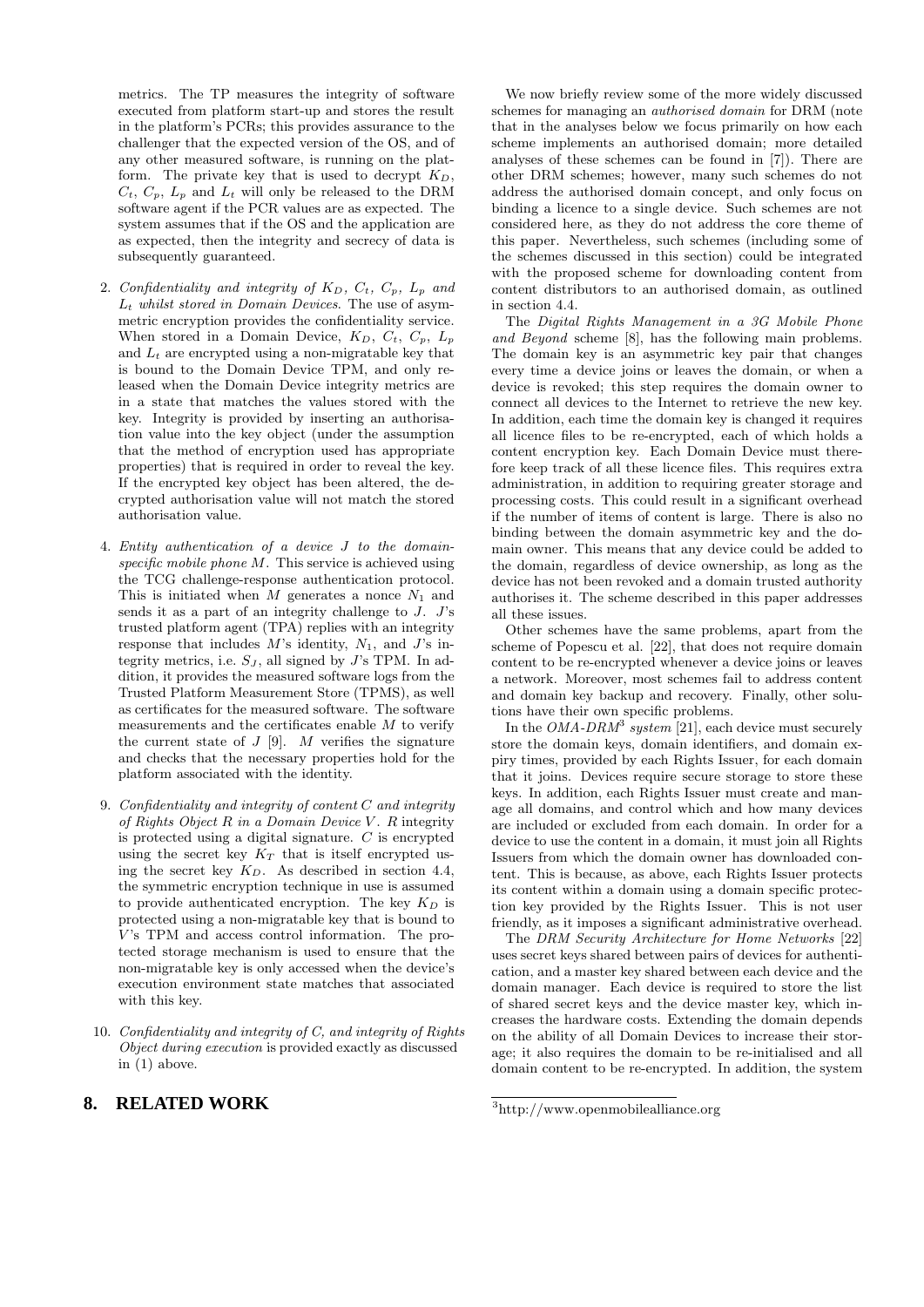metrics. The TP measures the integrity of software executed from platform start-up and stores the result in the platform's PCRs; this provides assurance to the challenger that the expected version of the OS, and of any other measured software, is running on the platform. The private key that is used to decrypt  $K_D$ ,  $C_t$ ,  $C_p$ ,  $L_p$  and  $L_t$  will only be released to the DRM software agent if the PCR values are as expected. The system assumes that if the OS and the application are as expected, then the integrity and secrecy of data is subsequently guaranteed.

- 2. Confidentiality and integrity of  $K_D$ ,  $C_t$ ,  $C_p$ ,  $L_p$  and  $L_t$  whilst stored in Domain Devices. The use of asymmetric encryption provides the confidentiality service. When stored in a Domain Device,  $K_D$ ,  $C_t$ ,  $C_p$ ,  $L_p$ and  $L_t$  are encrypted using a non-migratable key that is bound to the Domain Device TPM, and only released when the Domain Device integrity metrics are in a state that matches the values stored with the key. Integrity is provided by inserting an authorisation value into the key object (under the assumption that the method of encryption used has appropriate properties) that is required in order to reveal the key. If the encrypted key object has been altered, the decrypted authorisation value will not match the stored authorisation value.
- 4. Entity authentication of a device J to the domainspecific mobile phone  $M$ . This service is achieved using the TCG challenge-response authentication protocol. This is initiated when  $M$  generates a nonce  $N_1$  and sends it as a part of an integrity challenge to  $J.$   $J$ 's trusted platform agent (TPA) replies with an integrity response that includes  $M$ 's identity,  $N_1$ , and  $J$ 's integrity metrics, i.e.  $S_J$ , all signed by  $J$ 's TPM. In addition, it provides the measured software logs from the Trusted Platform Measurement Store (TPMS), as well as certificates for the measured software. The software measurements and the certificates enable M to verify the current state of  $J$  [9]. M verifies the signature and checks that the necessary properties hold for the platform associated with the identity.
- 9. Confidentiality and integrity of content C and integrity of Rights Object  $R$  in a Domain Device  $V$ .  $R$  integrity is protected using a digital signature.  $C$  is encrypted using the secret key  $K_T$  that is itself encrypted using the secret key  $K_D$ . As described in section 4.4, the symmetric encryption technique in use is assumed to provide authenticated encryption. The key  $K_D$  is protected using a non-migratable key that is bound to  $V$ 's TPM and access control information. The protected storage mechanism is used to ensure that the non-migratable key is only accessed when the device's execution environment state matches that associated with this key.
- 10. Confidentiality and integrity of C, and integrity of Rights Object during execution is provided exactly as discussed in (1) above.

# **8. RELATED WORK**

We now briefly review some of the more widely discussed schemes for managing an authorised domain for DRM (note that in the analyses below we focus primarily on how each scheme implements an authorised domain; more detailed analyses of these schemes can be found in [7]). There are other DRM schemes; however, many such schemes do not address the authorised domain concept, and only focus on binding a licence to a single device. Such schemes are not considered here, as they do not address the core theme of this paper. Nevertheless, such schemes (including some of the schemes discussed in this section) could be integrated with the proposed scheme for downloading content from content distributors to an authorised domain, as outlined in section 4.4.

The Digital Rights Management in a 3G Mobile Phone and Beyond scheme [8], has the following main problems. The domain key is an asymmetric key pair that changes every time a device joins or leaves the domain, or when a device is revoked; this step requires the domain owner to connect all devices to the Internet to retrieve the new key. In addition, each time the domain key is changed it requires all licence files to be re-encrypted, each of which holds a content encryption key. Each Domain Device must therefore keep track of all these licence files. This requires extra administration, in addition to requiring greater storage and processing costs. This could result in a significant overhead if the number of items of content is large. There is also no binding between the domain asymmetric key and the domain owner. This means that any device could be added to the domain, regardless of device ownership, as long as the device has not been revoked and a domain trusted authority authorises it. The scheme described in this paper addresses all these issues.

Other schemes have the same problems, apart from the scheme of Popescu et al. [22], that does not require domain content to be re-encrypted whenever a device joins or leaves a network. Moreover, most schemes fail to address content and domain key backup and recovery. Finally, other solutions have their own specific problems.

In the  $OMA\text{-}DRM^3$  system [21], each device must securely store the domain keys, domain identifiers, and domain expiry times, provided by each Rights Issuer, for each domain that it joins. Devices require secure storage to store these keys. In addition, each Rights Issuer must create and manage all domains, and control which and how many devices are included or excluded from each domain. In order for a device to use the content in a domain, it must join all Rights Issuers from which the domain owner has downloaded content. This is because, as above, each Rights Issuer protects its content within a domain using a domain specific protection key provided by the Rights Issuer. This is not user friendly, as it imposes a significant administrative overhead.

The DRM Security Architecture for Home Networks [22] uses secret keys shared between pairs of devices for authentication, and a master key shared between each device and the domain manager. Each device is required to store the list of shared secret keys and the device master key, which increases the hardware costs. Extending the domain depends on the ability of all Domain Devices to increase their storage; it also requires the domain to be re-initialised and all domain content to be re-encrypted. In addition, the system

<sup>3</sup>http://www.openmobilealliance.org